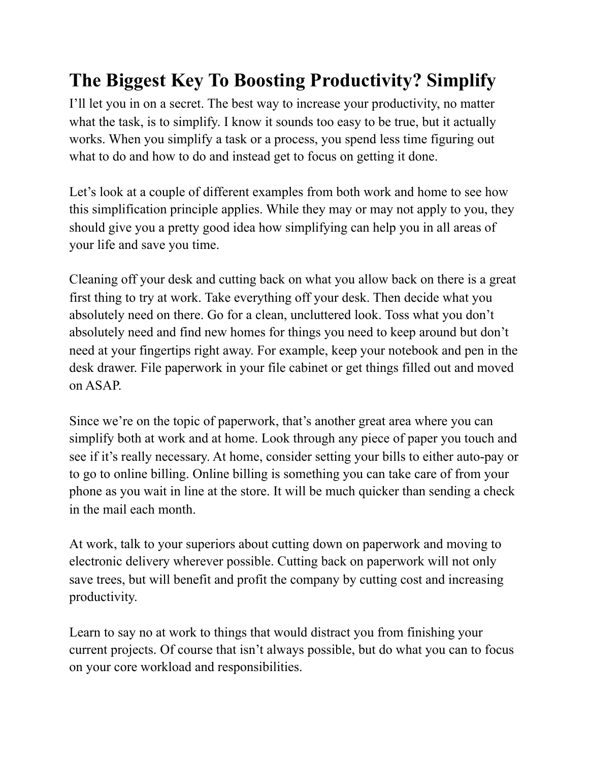## **The Biggest Key To Boosting Productivity? Simplify**

I'll let you in on a secret. The best way to increase your productivity, no matter what the task, is to simplify. I know it sounds too easy to be true, but it actually works. When you simplify a task or a process, you spend less time figuring out what to do and how to do and instead get to focus on getting it done.

Let's look at a couple of different examples from both work and home to see how this simplification principle applies. While they may or may not apply to you, they should give you a pretty good idea how simplifying can help you in all areas of your life and save you time.

Cleaning off your desk and cutting back on what you allow back on there is a great first thing to try at work. Take everything off your desk. Then decide what you absolutely need on there. Go for a clean, uncluttered look. Toss what you don't absolutely need and find new homes for things you need to keep around but don't need at your fingertips right away. For example, keep your notebook and pen in the desk drawer. File paperwork in your file cabinet or get things filled out and moved on ASAP.

Since we're on the topic of paperwork, that's another great area where you can simplify both at work and at home. Look through any piece of paper you touch and see if it's really necessary. At home, consider setting your bills to either auto-pay or to go to online billing. Online billing is something you can take care of from your phone as you wait in line at the store. It will be much quicker than sending a check in the mail each month.

At work, talk to your superiors about cutting down on paperwork and moving to electronic delivery wherever possible. Cutting back on paperwork will not only save trees, but will benefit and profit the company by cutting cost and increasing productivity.

Learn to say no at work to things that would distract you from finishing your current projects. Of course that isn't always possible, but do what you can to focus on your core workload and responsibilities.